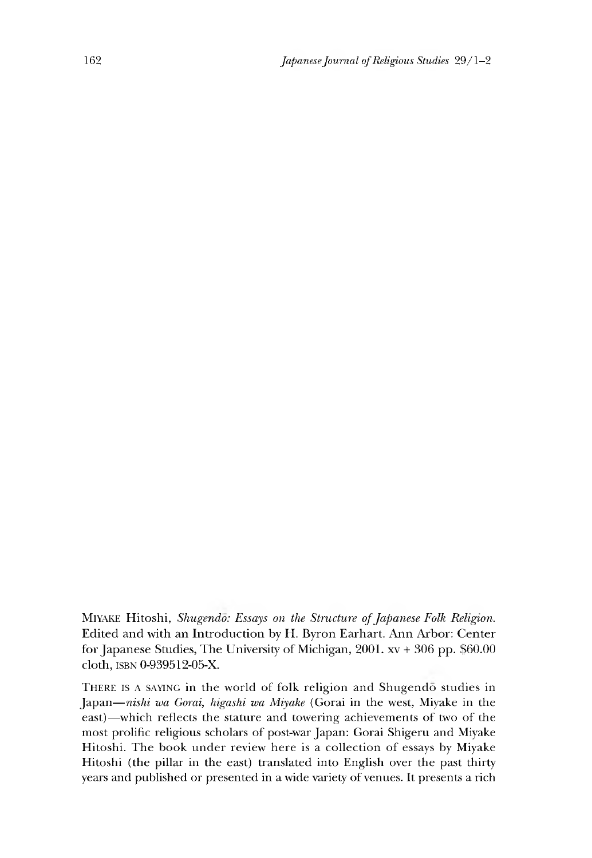Miyake Hitoshi, *Shugendo: Essays on the Structure of Japanese Folk Religion.* Edited and with an Introduction by H. Byron Earhart. Ann Arbor: Center for Japanese Studies, The University of Michigan, 2001.xv + 306 pp. \$60.00 cloth, isbn 0-939512-05-X.

THERE IS A SAYING in the world of folk religion and Shugendo studies in Japan— *nishi wa Gorai, higashi wa Miyake* (Gorai in the west, Miyake in the east)—which reflects the stature and towering achievements of two of the most prolific religious scholars of post-war Japan: Gorai Shigeru and Miyake Hitoshi. The book under review here is a collection of essays by Miyake Hitoshi (the pillar in the east) translated into English over the past thirty years and published or presented in a wide variety of venues. It presents a rich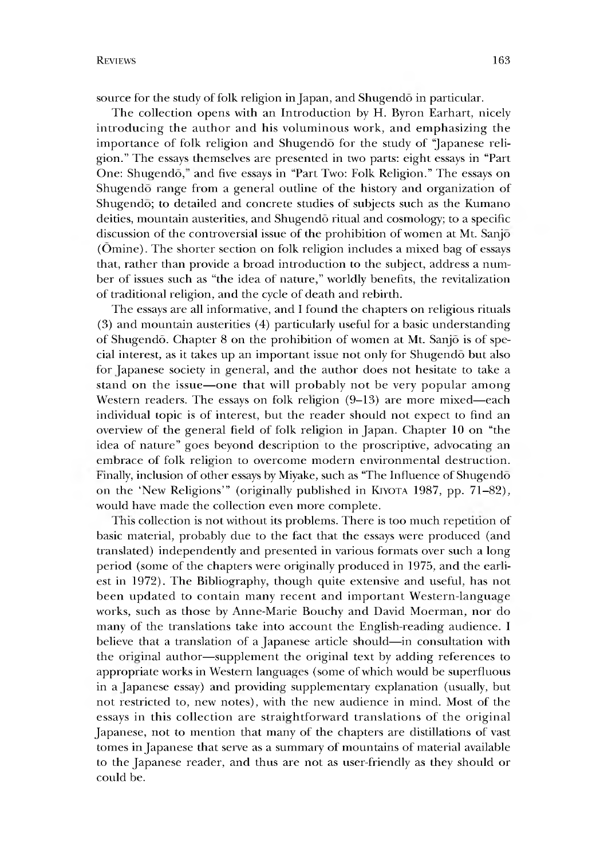The collection opens with an Introduction by H. Byron Earhart, nicely introducing the author and his voluminous work, and emphasizing the importance of folk religion and Shugendo for the study of "Japanese religion." The essays themselves are presented in two parts: eight essays in "Part One: Shugendō," and five essays in "Part Two: Folk Religion." The essays on Shugendo range from a general outline of the history and organization of Shugendo; to detailed and concrete studies of subjects such as the Kumano deities, mountain austerities, and Shugendo ritual and cosmology; to a specific discussion of the controversial issue of the prohibition of women at Mt. Sanjo (Omine). The shorter section on folk religion includes a mixed bag of essays that, rather than provide a broad introduction to the subject, address a number of issues such as "the idea of nature," worldly benefits, the revitalization of traditional religion, and the cycle of death and rebirth.

The essays are all informative, and I found the chapters on religious rituals  $(3)$  and mountain austerities  $(4)$  particularly useful for a basic understanding of Shugendo. Chapter 8 on the prohibition of women at Mt. Sanjo is of special interest, as it takes up an important issue not only for Shugendo but also for Japanese society in general, and the author does not hesitate to take a stand on the issue— one that will probably not be very popular among Western readers. The essays on folk religion (9-13) are more mixed—each individual topic is of interest, but the reader should not expect to find an overview of the general field of folk religion in Japan. Chapter 10 on "the idea of nature" goes beyond description to the proscriptive, advocating an embrace of folk religion to overcome modern environmental destruction, finally, inclusion of other essays by Miyake, such as "The Influence of Shugendo on the 'New Religions'" (originally published in KIYOTA 1987, pp. 71-82), would have made the collection even more complete.

This collection is not without its problems. There is too much repetition of basic material, probably due to the fact that the essays were produced (and translated) independently and presented in various formats over such a long period (some of the chapters were originally produced in 1975, and the earliest in 1972). The Bibliography, though quite extensive and useful, has not been updated to contain many recent and important Western-language works, such as those by Anne-Marie Bouchy and David Moerman, nor do many of the translations take into account the English-reading audience. I believe that a translation of a Japanese article should—in consultation with the original author— supplement the original text by adding references to appropriate works in Western languages (some of which would be superfluous in a Japanese essay) and providing supplementary explanation (usually, but not restricted to, new notes), with the new audience in mind. Most of the essays in this collection are straightforward translations of the original Japanese, not to mention that many of the chapters are distillations of vast tomes in Japanese that serve as a summary of mountains of material available to the Japanese reader, and thus are not as user-friendly as they should or could be.